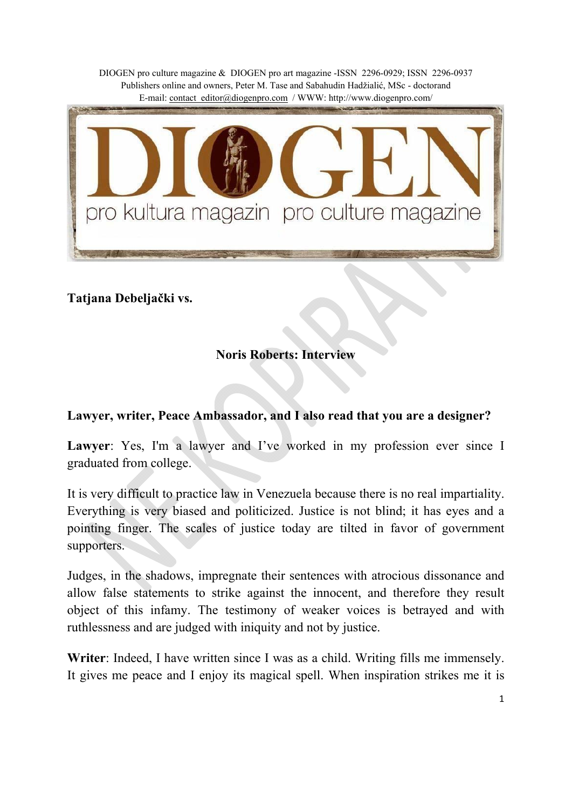

**Tatjana Debeljački vs.** 

# **Noris Roberts: Interview**

#### **Lawyer, writer, Peace Ambassador, and I also read that you are a designer?**

Lawyer: Yes, I'm a lawyer and I've worked in my profession ever since I graduated from college.

It is very difficult to practice law in Venezuela because there is no real impartiality. Everything is very biased and politicized. Justice is not blind; it has eyes and a pointing finger. The scales of justice today are tilted in favor of government supporters.

Judges, in the shadows, impregnate their sentences with atrocious dissonance and allow false statements to strike against the innocent, and therefore they result object of this infamy. The testimony of weaker voices is betrayed and with ruthlessness and are judged with iniquity and not by justice.

**Writer**: Indeed, I have written since I was as a child. Writing fills me immensely. It gives me peace and I enjoy its magical spell. When inspiration strikes me it is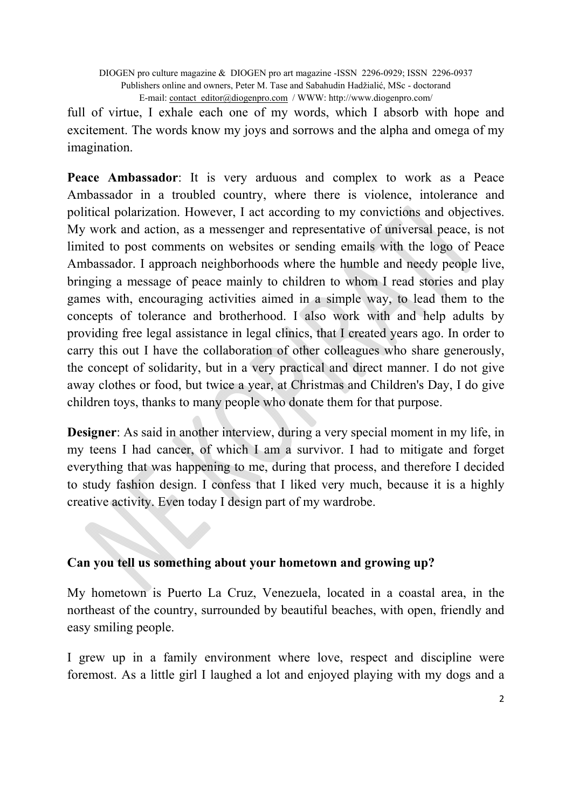full of virtue, I exhale each one of my words, which I absorb with hope and excitement. The words know my joys and sorrows and the alpha and omega of my imagination.

**Peace Ambassador**: It is very arduous and complex to work as a Peace Ambassador in a troubled country, where there is violence, intolerance and political polarization. However, I act according to my convictions and objectives. My work and action, as a messenger and representative of universal peace, is not limited to post comments on websites or sending emails with the logo of Peace Ambassador. I approach neighborhoods where the humble and needy people live, bringing a message of peace mainly to children to whom I read stories and play games with, encouraging activities aimed in a simple way, to lead them to the concepts of tolerance and brotherhood. I also work with and help adults by providing free legal assistance in legal clinics, that I created years ago. In order to carry this out I have the collaboration of other colleagues who share generously, the concept of solidarity, but in a very practical and direct manner. I do not give away clothes or food, but twice a year, at Christmas and Children's Day, I do give children toys, thanks to many people who donate them for that purpose.

**Designer**: As said in another interview, during a very special moment in my life, in my teens I had cancer, of which I am a survivor. I had to mitigate and forget everything that was happening to me, during that process, and therefore I decided to study fashion design. I confess that I liked very much, because it is a highly creative activity. Even today I design part of my wardrobe.

#### **Can you tell us something about your hometown and growing up?**

My hometown is Puerto La Cruz, Venezuela, located in a coastal area, in the northeast of the country, surrounded by beautiful beaches, with open, friendly and easy smiling people.

I grew up in a family environment where love, respect and discipline were foremost. As a little girl I laughed a lot and enjoyed playing with my dogs and a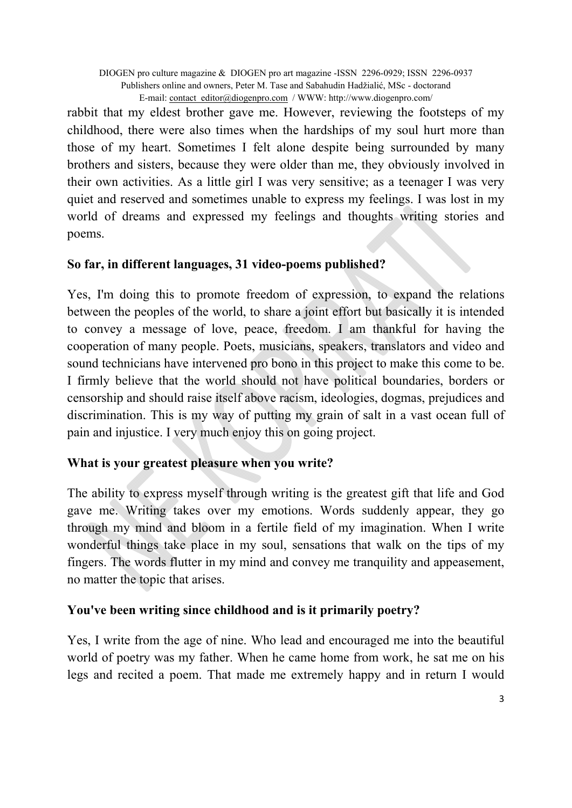rabbit that my eldest brother gave me. However, reviewing the footsteps of my childhood, there were also times when the hardships of my soul hurt more than those of my heart. Sometimes I felt alone despite being surrounded by many brothers and sisters, because they were older than me, they obviously involved in their own activities. As a little girl I was very sensitive; as a teenager I was very quiet and reserved and sometimes unable to express my feelings. I was lost in my world of dreams and expressed my feelings and thoughts writing stories and poems.

#### **So far, in different languages, 31 video-poems published?**

Yes, I'm doing this to promote freedom of expression, to expand the relations between the peoples of the world, to share a joint effort but basically it is intended to convey a message of love, peace, freedom. I am thankful for having the cooperation of many people. Poets, musicians, speakers, translators and video and sound technicians have intervened pro bono in this project to make this come to be. I firmly believe that the world should not have political boundaries, borders or censorship and should raise itself above racism, ideologies, dogmas, prejudices and discrimination. This is my way of putting my grain of salt in a vast ocean full of pain and injustice. I very much enjoy this on going project.

# **What is your greatest pleasure when you write?**

The ability to express myself through writing is the greatest gift that life and God gave me. Writing takes over my emotions. Words suddenly appear, they go through my mind and bloom in a fertile field of my imagination. When I write wonderful things take place in my soul, sensations that walk on the tips of my fingers. The words flutter in my mind and convey me tranquility and appeasement, no matter the topic that arises.

# **You've been writing since childhood and is it primarily poetry?**

Yes, I write from the age of nine. Who lead and encouraged me into the beautiful world of poetry was my father. When he came home from work, he sat me on his legs and recited a poem. That made me extremely happy and in return I would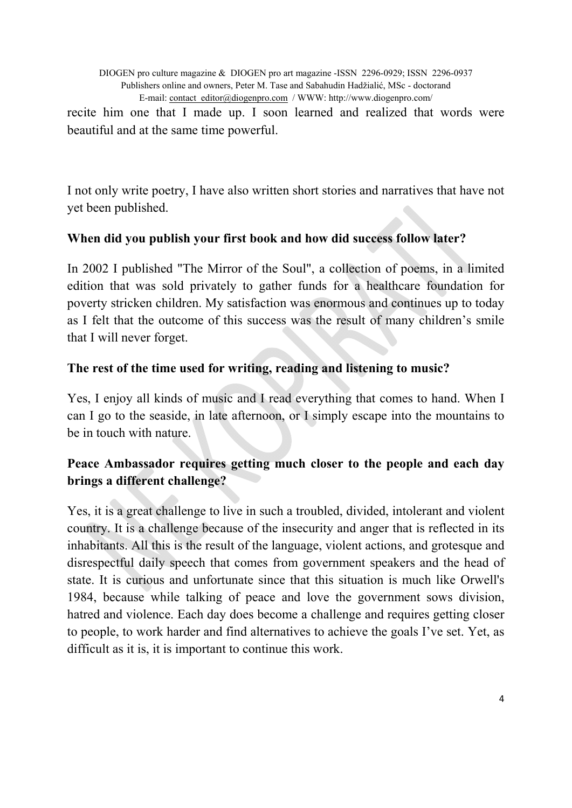recite him one that I made up. I soon learned and realized that words were beautiful and at the same time powerful.

I not only write poetry, I have also written short stories and narratives that have not yet been published.

#### **When did you publish your first book and how did success follow later?**

In 2002 I published "The Mirror of the Soul", a collection of poems, in a limited edition that was sold privately to gather funds for a healthcare foundation for poverty stricken children. My satisfaction was enormous and continues up to today as I felt that the outcome of this success was the result of many children's smile that I will never forget.

#### **The rest of the time used for writing, reading and listening to music?**

Yes, I enjoy all kinds of music and I read everything that comes to hand. When I can I go to the seaside, in late afternoon, or I simply escape into the mountains to be in touch with nature.

# **Peace Ambassador requires getting much closer to the people and each day brings a different challenge?**

Yes, it is a great challenge to live in such a troubled, divided, intolerant and violent country. It is a challenge because of the insecurity and anger that is reflected in its inhabitants. All this is the result of the language, violent actions, and grotesque and disrespectful daily speech that comes from government speakers and the head of state. It is curious and unfortunate since that this situation is much like Orwell's 1984, because while talking of peace and love the government sows division, hatred and violence. Each day does become a challenge and requires getting closer to people, to work harder and find alternatives to achieve the goals I've set. Yet, as difficult as it is, it is important to continue this work.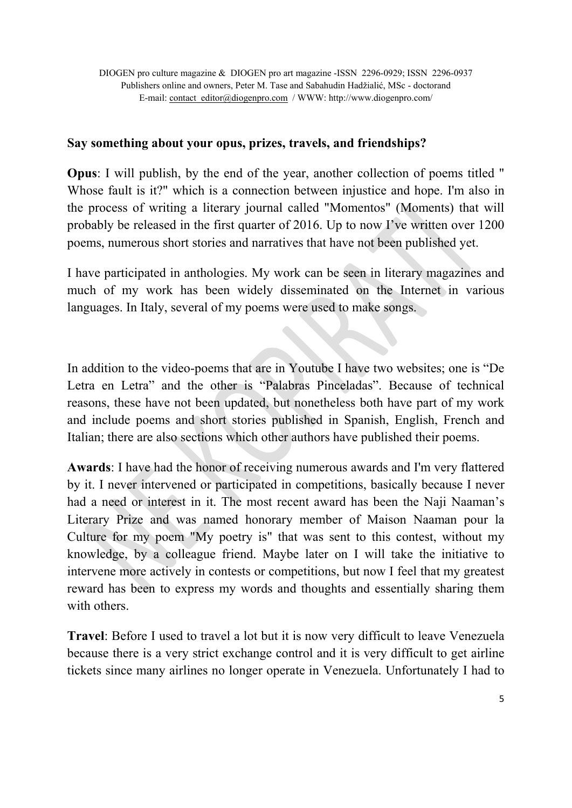#### **Say something about your opus, prizes, travels, and friendships?**

**Opus**: I will publish, by the end of the year, another collection of poems titled " Whose fault is it?" which is a connection between injustice and hope. I'm also in the process of writing a literary journal called "Momentos" (Moments) that will probably be released in the first quarter of 2016. Up to now I've written over 1200 poems, numerous short stories and narratives that have not been published yet.

I have participated in anthologies. My work can be seen in literary magazines and much of my work has been widely disseminated on the Internet in various languages. In Italy, several of my poems were used to make songs.

In addition to the video-poems that are in Youtube I have two websites; one is "De Letra en Letra" and the other is "Palabras Pinceladas". Because of technical reasons, these have not been updated, but nonetheless both have part of my work and include poems and short stories published in Spanish, English, French and Italian; there are also sections which other authors have published their poems.

**Awards**: I have had the honor of receiving numerous awards and I'm very flattered by it. I never intervened or participated in competitions, basically because I never had a need or interest in it. The most recent award has been the Naji Naaman's Literary Prize and was named honorary member of Maison Naaman pour la Culture for my poem "My poetry is" that was sent to this contest, without my knowledge, by a colleague friend. Maybe later on I will take the initiative to intervene more actively in contests or competitions, but now I feel that my greatest reward has been to express my words and thoughts and essentially sharing them with others.

**Travel**: Before I used to travel a lot but it is now very difficult to leave Venezuela because there is a very strict exchange control and it is very difficult to get airline tickets since many airlines no longer operate in Venezuela. Unfortunately I had to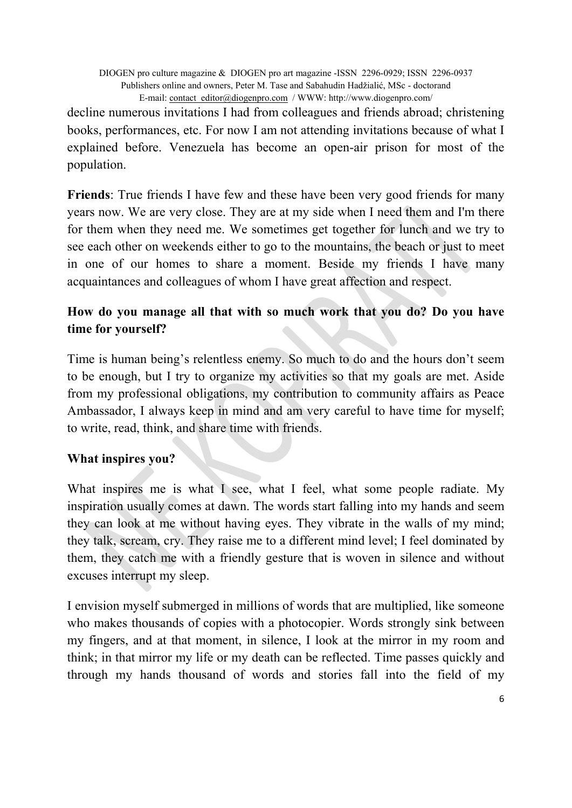decline numerous invitations I had from colleagues and friends abroad; christening books, performances, etc. For now I am not attending invitations because of what I explained before. Venezuela has become an open-air prison for most of the population.

**Friends**: True friends I have few and these have been very good friends for many years now. We are very close. They are at my side when I need them and I'm there for them when they need me. We sometimes get together for lunch and we try to see each other on weekends either to go to the mountains, the beach or just to meet in one of our homes to share a moment. Beside my friends I have many acquaintances and colleagues of whom I have great affection and respect.

# **How do you manage all that with so much work that you do? Do you have time for yourself?**

Time is human being's relentless enemy. So much to do and the hours don't seem to be enough, but I try to organize my activities so that my goals are met. Aside from my professional obligations, my contribution to community affairs as Peace Ambassador, I always keep in mind and am very careful to have time for myself; to write, read, think, and share time with friends.

#### **What inspires you?**

What inspires me is what I see, what I feel, what some people radiate. My inspiration usually comes at dawn. The words start falling into my hands and seem they can look at me without having eyes. They vibrate in the walls of my mind; they talk, scream, cry. They raise me to a different mind level; I feel dominated by them, they catch me with a friendly gesture that is woven in silence and without excuses interrupt my sleep.

I envision myself submerged in millions of words that are multiplied, like someone who makes thousands of copies with a photocopier. Words strongly sink between my fingers, and at that moment, in silence, I look at the mirror in my room and think; in that mirror my life or my death can be reflected. Time passes quickly and through my hands thousand of words and stories fall into the field of my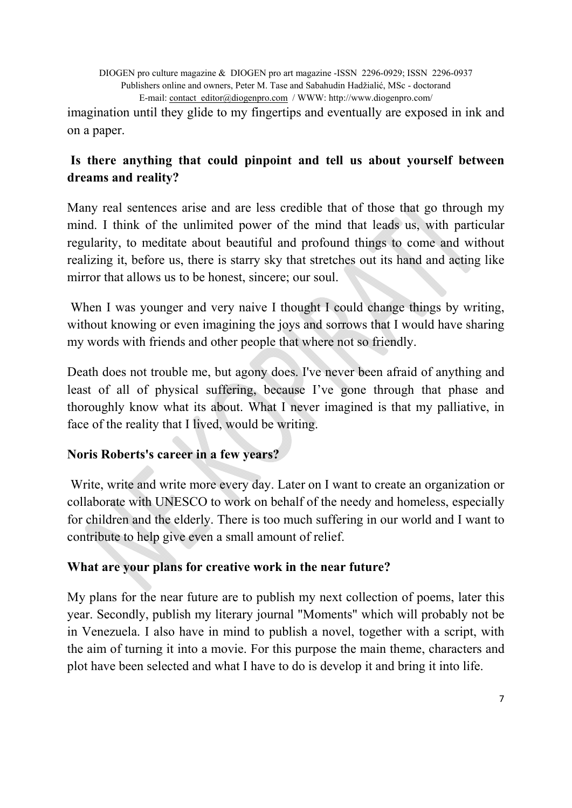imagination until they glide to my fingertips and eventually are exposed in ink and on a paper.

# **Is there anything that could pinpoint and tell us about yourself between dreams and reality?**

Many real sentences arise and are less credible that of those that go through my mind. I think of the unlimited power of the mind that leads us, with particular regularity, to meditate about beautiful and profound things to come and without realizing it, before us, there is starry sky that stretches out its hand and acting like mirror that allows us to be honest, sincere; our soul.

When I was younger and very naive I thought I could change things by writing, without knowing or even imagining the joys and sorrows that I would have sharing my words with friends and other people that where not so friendly.

Death does not trouble me, but agony does. I've never been afraid of anything and least of all of physical suffering, because I've gone through that phase and thoroughly know what its about. What I never imagined is that my palliative, in face of the reality that I lived, would be writing.

# **Noris Roberts's career in a few years?**

 Write, write and write more every day. Later on I want to create an organization or collaborate with UNESCO to work on behalf of the needy and homeless, especially for children and the elderly. There is too much suffering in our world and I want to contribute to help give even a small amount of relief.

# **What are your plans for creative work in the near future?**

My plans for the near future are to publish my next collection of poems, later this year. Secondly, publish my literary journal "Moments" which will probably not be in Venezuela. I also have in mind to publish a novel, together with a script, with the aim of turning it into a movie. For this purpose the main theme, characters and plot have been selected and what I have to do is develop it and bring it into life.